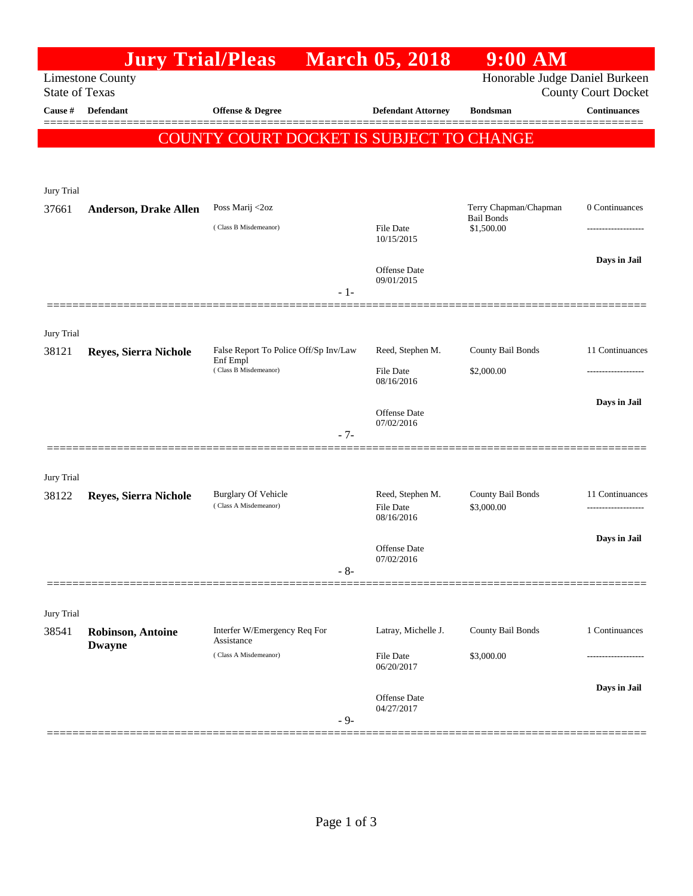|                                                  | <b>Jury Trial/Pleas</b>                   |                                                                            |                         | <b>March 05, 2018</b>                              | <b>9:00 AM</b>                             |                            |
|--------------------------------------------------|-------------------------------------------|----------------------------------------------------------------------------|-------------------------|----------------------------------------------------|--------------------------------------------|----------------------------|
| <b>Limestone County</b><br><b>State of Texas</b> |                                           |                                                                            |                         |                                                    | Honorable Judge Daniel Burkeen             | <b>County Court Docket</b> |
| Cause #                                          | <b>Defendant</b>                          | Offense & Degree                                                           |                         | <b>Defendant Attorney</b>                          | <b>Bondsman</b>                            | <b>Continuances</b>        |
|                                                  |                                           | COUNTY COURT DOCKET IS SUBJECT TO CHANGE                                   |                         |                                                    |                                            |                            |
| Jury Trial                                       |                                           |                                                                            |                         |                                                    |                                            |                            |
| 37661                                            | <b>Anderson, Drake Allen</b>              | Poss Marij <2oz                                                            |                         |                                                    | Terry Chapman/Chapman<br><b>Bail Bonds</b> | 0 Continuances             |
|                                                  |                                           | (Class B Misdemeanor)                                                      | File Date<br>10/15/2015 | \$1,500.00                                         |                                            |                            |
|                                                  |                                           |                                                                            | $-1-$                   | Offense Date<br>09/01/2015                         |                                            | Days in Jail               |
|                                                  |                                           |                                                                            |                         |                                                    |                                            |                            |
| Jury Trial<br>38121                              | Reyes, Sierra Nichole                     | False Report To Police Off/Sp Inv/Law<br>Enf Empl<br>(Class B Misdemeanor) |                         | Reed, Stephen M.<br><b>File Date</b><br>08/16/2016 | County Bail Bonds<br>\$2,000.00            | 11 Continuances            |
|                                                  |                                           |                                                                            | $-7-$                   | Offense Date<br>07/02/2016                         |                                            | Days in Jail               |
|                                                  |                                           |                                                                            |                         |                                                    |                                            |                            |
| Jury Trial<br>38122                              | Reyes, Sierra Nichole                     | <b>Burglary Of Vehicle</b><br>(Class A Misdemeanor)                        |                         | Reed, Stephen M.<br><b>File Date</b><br>08/16/2016 | County Bail Bonds<br>\$3,000.00            | 11 Continuances            |
|                                                  |                                           |                                                                            | $-8-$                   | Offense Date<br>07/02/2016                         |                                            | Days in Jail               |
|                                                  |                                           |                                                                            |                         |                                                    |                                            |                            |
| Jury Trial                                       |                                           |                                                                            |                         |                                                    |                                            |                            |
| 38541                                            | <b>Robinson, Antoine</b><br><b>Dwayne</b> | Interfer W/Emergency Req For<br>Assistance                                 |                         | Latray, Michelle J.                                | County Bail Bonds                          | 1 Continuances             |
|                                                  |                                           | (Class A Misdemeanor)                                                      |                         | File Date<br>06/20/2017                            | \$3,000.00                                 |                            |
|                                                  |                                           |                                                                            | $-9-$                   | Offense Date<br>04/27/2017                         |                                            | Days in Jail               |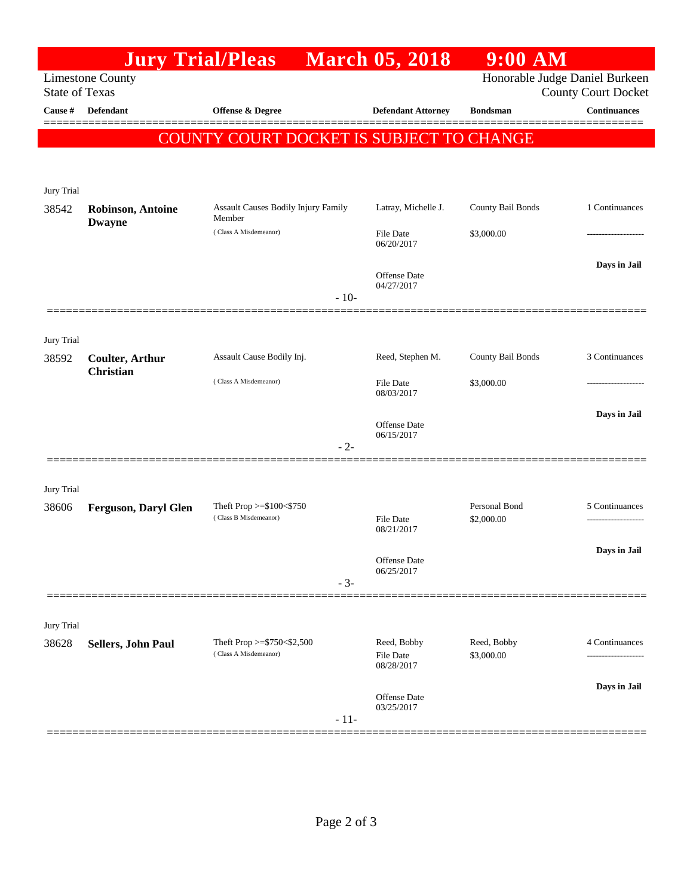|                                                  |                                            | <b>Jury Trial/Pleas</b>                              |        | <b>March 05, 2018</b>                         | $9:00$ AM                   |                                                              |  |  |  |
|--------------------------------------------------|--------------------------------------------|------------------------------------------------------|--------|-----------------------------------------------|-----------------------------|--------------------------------------------------------------|--|--|--|
| <b>Limestone County</b><br><b>State of Texas</b> |                                            |                                                      |        |                                               |                             | Honorable Judge Daniel Burkeen<br><b>County Court Docket</b> |  |  |  |
| Cause #                                          | <b>Defendant</b>                           | <b>Offense &amp; Degree</b>                          |        | <b>Defendant Attorney</b>                     | <b>Bondsman</b>             | <b>Continuances</b>                                          |  |  |  |
|                                                  | COUNTY COURT DOCKET IS SUBJECT TO CHANGE   |                                                      |        |                                               |                             |                                                              |  |  |  |
|                                                  |                                            |                                                      |        |                                               |                             |                                                              |  |  |  |
| Jury Trial<br>38542                              | <b>Robinson, Antoine</b><br><b>Dwayne</b>  | Assault Causes Bodily Injury Family<br>Member        |        | Latray, Michelle J.                           | County Bail Bonds           | 1 Continuances                                               |  |  |  |
|                                                  |                                            | (Class A Misdemeanor)                                |        |                                               | \$3,000.00                  |                                                              |  |  |  |
|                                                  |                                            |                                                      | $-10-$ | <b>Offense</b> Date<br>04/27/2017             |                             | Days in Jail                                                 |  |  |  |
|                                                  |                                            |                                                      |        |                                               |                             |                                                              |  |  |  |
| Jury Trial<br>38592                              | <b>Coulter, Arthur</b><br><b>Christian</b> | Assault Cause Bodily Inj.                            |        | Reed, Stephen M.                              | County Bail Bonds           | 3 Continuances                                               |  |  |  |
|                                                  |                                            | (Class A Misdemeanor)                                |        | <b>File Date</b><br>08/03/2017                | \$3,000.00                  |                                                              |  |  |  |
|                                                  |                                            |                                                      | $-2-$  | <b>Offense</b> Date<br>06/15/2017             |                             | Days in Jail                                                 |  |  |  |
| Jury Trial                                       |                                            |                                                      |        |                                               |                             |                                                              |  |  |  |
| 38606                                            | <b>Ferguson, Daryl Glen</b>                | Theft Prop $>= $100 < $750$<br>(Class B Misdemeanor) |        | <b>File Date</b><br>08/21/2017                | Personal Bond<br>\$2,000.00 | 5 Continuances                                               |  |  |  |
|                                                  |                                            |                                                      | $-3-$  | Offense Date<br>06/25/2017                    |                             | Days in Jail                                                 |  |  |  |
|                                                  |                                            |                                                      |        |                                               |                             |                                                              |  |  |  |
| Jury Trial                                       |                                            |                                                      |        |                                               |                             |                                                              |  |  |  |
| 38628                                            | Sellers, John Paul                         | Theft Prop >=\$750<\$2,500<br>(Class A Misdemeanor)  |        | Reed, Bobby<br><b>File Date</b><br>08/28/2017 | Reed, Bobby<br>\$3,000.00   | 4 Continuances<br>                                           |  |  |  |
|                                                  |                                            |                                                      | $-11-$ | <b>Offense</b> Date<br>03/25/2017             |                             | Days in Jail                                                 |  |  |  |